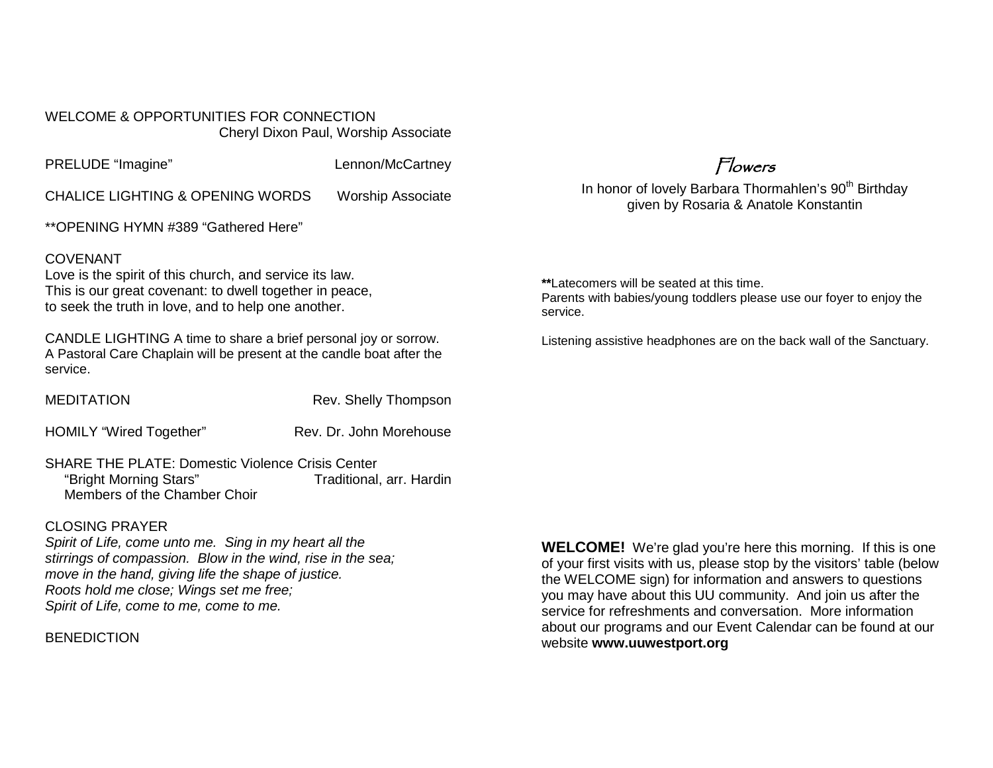WELCOME & OPPORTUNITIES FOR CONNECTION Cheryl Dixon Paul, Worship Associate

PRELUDE "Imagine" Lennon/McCartney

CHALICE LIGHTING & OPENING WORDS Worship Associate

\*\*OPENING HYMN #389 "Gathered Here"

### COVENANT

Love is the spirit of this church, and service its law. This is our great covenant: to dwell together in peace, to seek the truth in love, and to help one another.

CANDLE LIGHTING A time to share a brief personal joy or sorrow. A Pastoral Care Chaplain will be present at the candle boat after the service.

MEDITATION Rev. Shelly Thompson

HOMILY "Wired Together" Rev. Dr. John Morehouse

SHARE THE PLATE: Domestic Violence Crisis Center "Bright Morning Stars" Traditional, arr. Hardin Members of the Chamber Choir

### CLOSING PRAYER

*Spirit of Life, come unto me. Sing in my heart all the stirrings of compassion. Blow in the wind, rise in the sea; move in the hand, giving life the shape of justice. Roots hold me close; Wings set me free; Spirit of Life, come to me, come to me.*

**BENEDICTION** 

**WELCOME!** We're glad you're here this morning. If this is one of your first visits with us, please stop by the visitors' table (below the WELCOME sign) for information and answers to questions you may have about this UU community. And join us after the service for refreshments and conversation. More information about our programs and our Event Calendar can be found at our website **[www.uuwestport.org](http://www.uuwestport.org/)**

Flowers

In honor of lovely Barbara Thormahlen's 90<sup>th</sup> Birthday given by Rosaria & Anatole Konstantin

**\*\***Latecomers will be seated at this time. Parents with babies/young toddlers please use our foyer to enjoy the service.

Listening assistive headphones are on the back wall of the Sanctuary.